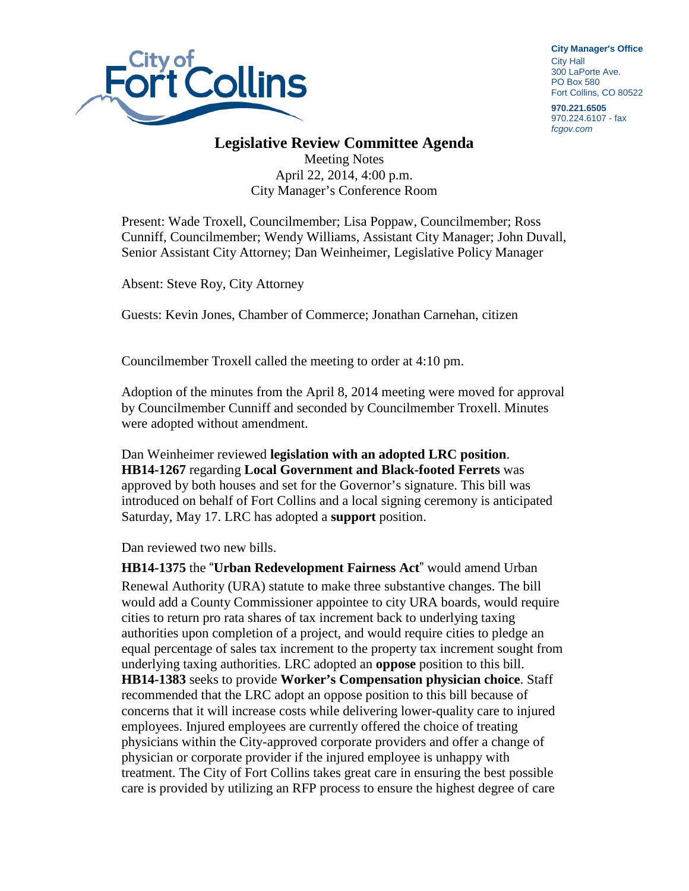

**City Manager**'**s Office** City Hall 300 LaPorte Ave. PO Box 580 Fort Collins, CO 80522

**970.221.6505** 970.224.6107 - fax *fcgov.com*

## **Legislative Review Committee Agenda**

Meeting Notes April 22, 2014, 4:00 p.m. City Manager's Conference Room

Present: Wade Troxell, Councilmember; Lisa Poppaw, Councilmember; Ross Cunniff, Councilmember; Wendy Williams, Assistant City Manager; John Duvall, Senior Assistant City Attorney; Dan Weinheimer, Legislative Policy Manager

Absent: Steve Roy, City Attorney

Guests: Kevin Jones, Chamber of Commerce; Jonathan Carnehan, citizen

Councilmember Troxell called the meeting to order at 4:10 pm.

Adoption of the minutes from the April 8, 2014 meeting were moved for approval by Councilmember Cunniff and seconded by Councilmember Troxell. Minutes were adopted without amendment.

Dan Weinheimer reviewed **legislation with an adopted LRC position**. **HB14-1267** regarding **Local Government and Black-footed Ferrets** was approved by both houses and set for the Governor's signature. This bill was introduced on behalf of Fort Collins and a local signing ceremony is anticipated Saturday, May 17. LRC has adopted a **support** position.

Dan reviewed two new bills.

**HB14-1375** the "**Urban Redevelopment Fairness Act**" would amend Urban Renewal Authority (URA) statute to make three substantive changes. The bill would add a County Commissioner appointee to city URA boards, would require cities to return pro rata shares of tax increment back to underlying taxing authorities upon completion of a project, and would require cities to pledge an equal percentage of sales tax increment to the property tax increment sought from underlying taxing authorities. LRC adopted an **oppose** position to this bill. **HB14-1383** seeks to provide **Worker's Compensation physician choice**. Staff recommended that the LRC adopt an oppose position to this bill because of concerns that it will increase costs while delivering lower-quality care to injured employees. Injured employees are currently offered the choice of treating physicians within the City-approved corporate providers and offer a change of physician or corporate provider if the injured employee is unhappy with treatment. The City of Fort Collins takes great care in ensuring the best possible care is provided by utilizing an RFP process to ensure the highest degree of care